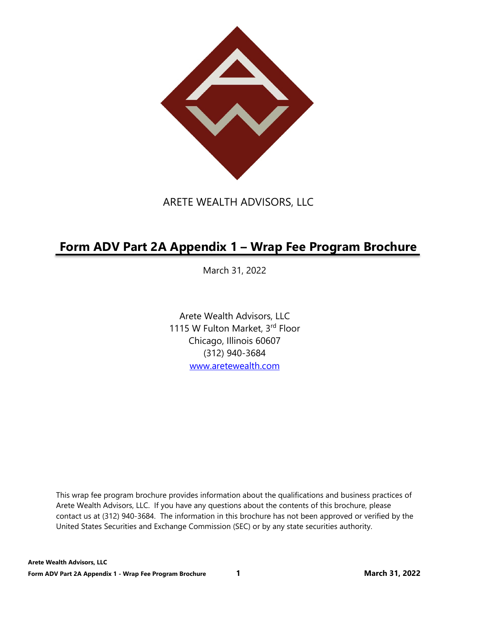

## ARETE WEALTH ADVISORS, LLC

# **Form ADV Part 2A Appendix 1 – Wrap Fee Program Brochure**

March 31, 2022

Arete Wealth Advisors, LLC 1115 W Fulton Market, 3rd Floor Chicago, Illinois 60607 (312) 940-3684 www.aretewealth.com

This wrap fee program brochure provides information about the qualifications and business practices of Arete Wealth Advisors, LLC. If you have any questions about the contents of this brochure, please contact us at (312) 940-3684. The information in this brochure has not been approved or verified by the United States Securities and Exchange Commission (SEC) or by any state securities authority.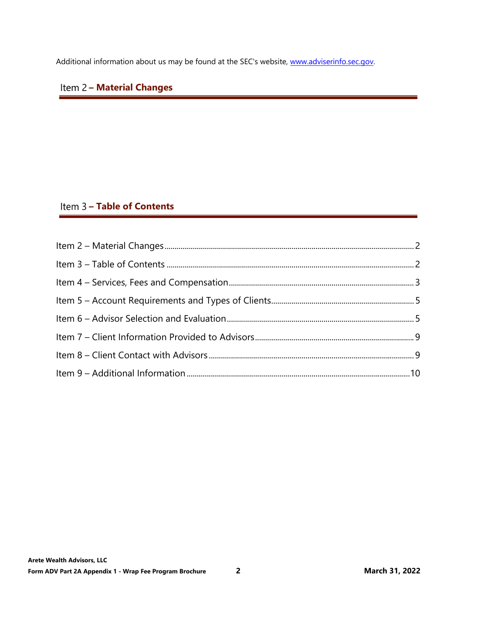Additional information about us may be found at the SEC's website, www.adviserinfo.sec.gov.

## **Item 2 - Material Changes**

## Item 3 - Table of Contents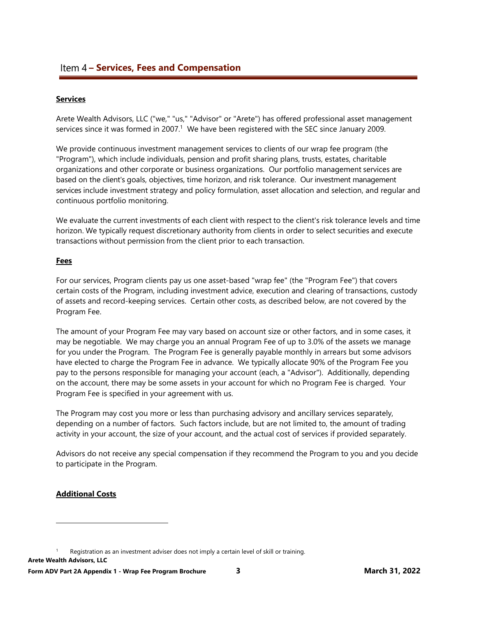## **Item 4 – Services, Fees and Compensation**

#### **Services**

Arete Wealth Advisors, LLC ("we," "us," "Advisor" or "Arete") has offered professional asset management services since it was formed in 2007.<sup>1</sup> We have been registered with the SEC since January 2009.

We provide continuous investment management services to clients of our wrap fee program (the "Program"), which include individuals, pension and profit sharing plans, trusts, estates, charitable organizations and other corporate or business organizations. Our portfolio management services are based on the client's goals, objectives, time horizon, and risk tolerance. Our investment management services include investment strategy and policy formulation, asset allocation and selection, and regular and continuous portfolio monitoring.

We evaluate the current investments of each client with respect to the client's risk tolerance levels and time horizon. We typically request discretionary authority from clients in order to select securities and execute transactions without permission from the client prior to each transaction.

#### **Fees**

For our services, Program clients pay us one asset-based "wrap fee" (the "Program Fee") that covers certain costs of the Program, including investment advice, execution and clearing of transactions, custody of assets and record-keeping services. Certain other costs, as described below, are not covered by the Program Fee.

The amount of your Program Fee may vary based on account size or other factors, and in some cases, it may be negotiable. We may charge you an annual Program Fee of up to 3.0% of the assets we manage for you under the Program. The Program Fee is generally payable monthly in arrears but some advisors have elected to charge the Program Fee in advance. We typically allocate 90% of the Program Fee you pay to the persons responsible for managing your account (each, a "Advisor"). Additionally, depending on the account, there may be some assets in your account for which no Program Fee is charged. Your Program Fee is specified in your agreement with us.

The Program may cost you more or less than purchasing advisory and ancillary services separately, depending on a number of factors. Such factors include, but are not limited to, the amount of trading activity in your account, the size of your account, and the actual cost of services if provided separately.

Advisors do not receive any special compensation if they recommend the Program to you and you decide to participate in the Program.

### **Additional Costs**

**Arete Wealth Advisors, LLC**  1 Registration as an investment adviser does not imply a certain level of skill or training.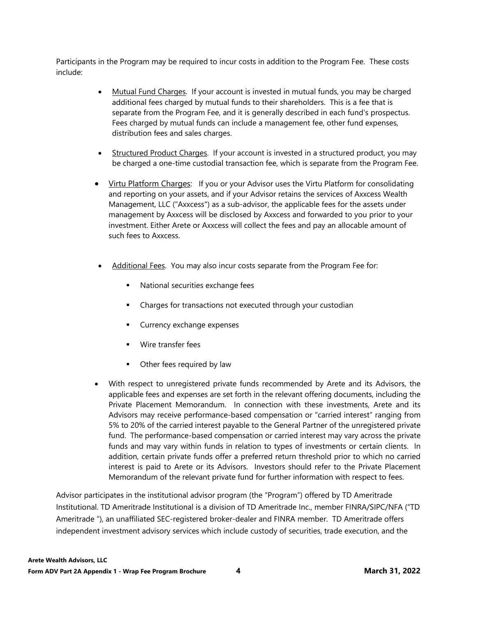Participants in the Program may be required to incur costs in addition to the Program Fee. These costs include:

- Mutual Fund Charges. If your account is invested in mutual funds, you may be charged additional fees charged by mutual funds to their shareholders. This is a fee that is separate from the Program Fee, and it is generally described in each fund's prospectus. Fees charged by mutual funds can include a management fee, other fund expenses, distribution fees and sales charges.
- Structured Product Charges. If your account is invested in a structured product, you may be charged a one-time custodial transaction fee, which is separate from the Program Fee.
- Virtu Platform Charges: If you or your Advisor uses the Virtu Platform for consolidating and reporting on your assets, and if your Advisor retains the services of Axxcess Wealth Management, LLC ("Axxcess") as a sub-advisor, the applicable fees for the assets under management by Axxcess will be disclosed by Axxcess and forwarded to you prior to your investment. Either Arete or Axxcess will collect the fees and pay an allocable amount of such fees to Axxcess.
- Additional Fees. You may also incur costs separate from the Program Fee for:
	- National securities exchange fees
	- Charges for transactions not executed through your custodian
	- **Currency exchange expenses**
	- **Wire transfer fees**
	- **•** Other fees required by law
- With respect to unregistered private funds recommended by Arete and its Advisors, the applicable fees and expenses are set forth in the relevant offering documents, including the Private Placement Memorandum. In connection with these investments, Arete and its Advisors may receive performance-based compensation or "carried interest" ranging from 5% to 20% of the carried interest payable to the General Partner of the unregistered private fund. The performance-based compensation or carried interest may vary across the private funds and may vary within funds in relation to types of investments or certain clients. In addition, certain private funds offer a preferred return threshold prior to which no carried interest is paid to Arete or its Advisors. Investors should refer to the Private Placement Memorandum of the relevant private fund for further information with respect to fees.

Advisor participates in the institutional advisor program (the "Program") offered by TD Ameritrade Institutional. TD Ameritrade Institutional is a division of TD Ameritrade Inc., member FINRA/SIPC/NFA ("TD Ameritrade "), an unaffiliated SEC-registered broker-dealer and FINRA member. TD Ameritrade offers independent investment advisory services which include custody of securities, trade execution, and the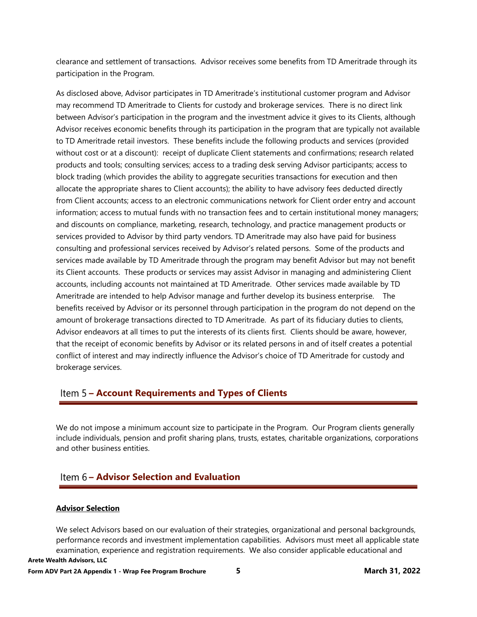clearance and settlement of transactions. Advisor receives some benefits from TD Ameritrade through its participation in the Program.

As disclosed above, Advisor participates in TD Ameritrade's institutional customer program and Advisor may recommend TD Ameritrade to Clients for custody and brokerage services. There is no direct link between Advisor's participation in the program and the investment advice it gives to its Clients, although Advisor receives economic benefits through its participation in the program that are typically not available to TD Ameritrade retail investors. These benefits include the following products and services (provided without cost or at a discount): receipt of duplicate Client statements and confirmations; research related products and tools; consulting services; access to a trading desk serving Advisor participants; access to block trading (which provides the ability to aggregate securities transactions for execution and then allocate the appropriate shares to Client accounts); the ability to have advisory fees deducted directly from Client accounts; access to an electronic communications network for Client order entry and account information; access to mutual funds with no transaction fees and to certain institutional money managers; and discounts on compliance, marketing, research, technology, and practice management products or services provided to Advisor by third party vendors. TD Ameritrade may also have paid for business consulting and professional services received by Advisor's related persons. Some of the products and services made available by TD Ameritrade through the program may benefit Advisor but may not benefit its Client accounts. These products or services may assist Advisor in managing and administering Client accounts, including accounts not maintained at TD Ameritrade. Other services made available by TD Ameritrade are intended to help Advisor manage and further develop its business enterprise. The benefits received by Advisor or its personnel through participation in the program do not depend on the amount of brokerage transactions directed to TD Ameritrade. As part of its fiduciary duties to clients, Advisor endeavors at all times to put the interests of its clients first. Clients should be aware, however, that the receipt of economic benefits by Advisor or its related persons in and of itself creates a potential conflict of interest and may indirectly influence the Advisor's choice of TD Ameritrade for custody and brokerage services.

## **– Account Requirements and Types of Clients**

We do not impose a minimum account size to participate in the Program. Our Program clients generally include individuals, pension and profit sharing plans, trusts, estates, charitable organizations, corporations and other business entities.

## **– Advisor Selection and Evaluation**

#### **Advisor Selection**

**Arete Wealth Advisors, LLC**  We select Advisors based on our evaluation of their strategies, organizational and personal backgrounds, performance records and investment implementation capabilities. Advisors must meet all applicable state examination, experience and registration requirements. We also consider applicable educational and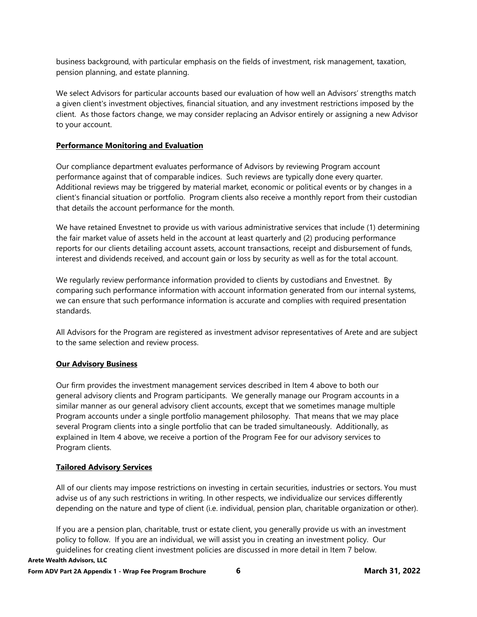business background, with particular emphasis on the fields of investment, risk management, taxation, pension planning, and estate planning.

We select Advisors for particular accounts based our evaluation of how well an Advisors' strengths match a given client's investment objectives, financial situation, and any investment restrictions imposed by the client. As those factors change, we may consider replacing an Advisor entirely or assigning a new Advisor to your account.

### **Performance Monitoring and Evaluation**

Our compliance department evaluates performance of Advisors by reviewing Program account performance against that of comparable indices. Such reviews are typically done every quarter. Additional reviews may be triggered by material market, economic or political events or by changes in a client's financial situation or portfolio. Program clients also receive a monthly report from their custodian that details the account performance for the month.

We have retained Envestnet to provide us with various administrative services that include (1) determining the fair market value of assets held in the account at least quarterly and (2) producing performance reports for our clients detailing account assets, account transactions, receipt and disbursement of funds, interest and dividends received, and account gain or loss by security as well as for the total account.

We regularly review performance information provided to clients by custodians and Envestnet. By comparing such performance information with account information generated from our internal systems, we can ensure that such performance information is accurate and complies with required presentation standards.

All Advisors for the Program are registered as investment advisor representatives of Arete and are subject to the same selection and review process.

### **Our Advisory Business**

Our firm provides the investment management services described in Item 4 above to both our general advisory clients and Program participants. We generally manage our Program accounts in a similar manner as our general advisory client accounts, except that we sometimes manage multiple Program accounts under a single portfolio management philosophy. That means that we may place several Program clients into a single portfolio that can be traded simultaneously. Additionally, as explained in Item 4 above, we receive a portion of the Program Fee for our advisory services to Program clients.

### **Tailored Advisory Services**

All of our clients may impose restrictions on investing in certain securities, industries or sectors. You must advise us of any such restrictions in writing. In other respects, we individualize our services differently depending on the nature and type of client (i.e. individual, pension plan, charitable organization or other).

**Arete Wealth Advisors, LLC**  If you are a pension plan, charitable, trust or estate client, you generally provide us with an investment policy to follow. If you are an individual, we will assist you in creating an investment policy. Our guidelines for creating client investment policies are discussed in more detail in Item 7 below.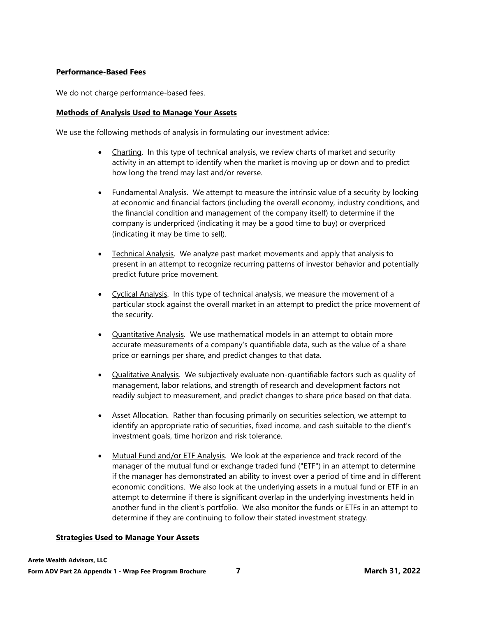### **Performance-Based Fees**

We do not charge performance-based fees.

#### **Methods of Analysis Used to Manage Your Assets**

We use the following methods of analysis in formulating our investment advice:

- Charting. In this type of technical analysis, we review charts of market and security activity in an attempt to identify when the market is moving up or down and to predict how long the trend may last and/or reverse.
- Fundamental Analysis. We attempt to measure the intrinsic value of a security by looking at economic and financial factors (including the overall economy, industry conditions, and the financial condition and management of the company itself) to determine if the company is underpriced (indicating it may be a good time to buy) or overpriced (indicating it may be time to sell).
- Technical Analysis. We analyze past market movements and apply that analysis to present in an attempt to recognize recurring patterns of investor behavior and potentially predict future price movement.
- Cyclical Analysis. In this type of technical analysis, we measure the movement of a particular stock against the overall market in an attempt to predict the price movement of the security.
- Quantitative Analysis. We use mathematical models in an attempt to obtain more accurate measurements of a company's quantifiable data, such as the value of a share price or earnings per share, and predict changes to that data.
- Qualitative Analysis. We subjectively evaluate non-quantifiable factors such as quality of management, labor relations, and strength of research and development factors not readily subject to measurement, and predict changes to share price based on that data.
- Asset Allocation. Rather than focusing primarily on securities selection, we attempt to identify an appropriate ratio of securities, fixed income, and cash suitable to the client's investment goals, time horizon and risk tolerance.
- Mutual Fund and/or ETF Analysis. We look at the experience and track record of the manager of the mutual fund or exchange traded fund ("ETF") in an attempt to determine if the manager has demonstrated an ability to invest over a period of time and in different economic conditions. We also look at the underlying assets in a mutual fund or ETF in an attempt to determine if there is significant overlap in the underlying investments held in another fund in the client's portfolio. We also monitor the funds or ETFs in an attempt to determine if they are continuing to follow their stated investment strategy.

#### **Strategies Used to Manage Your Assets**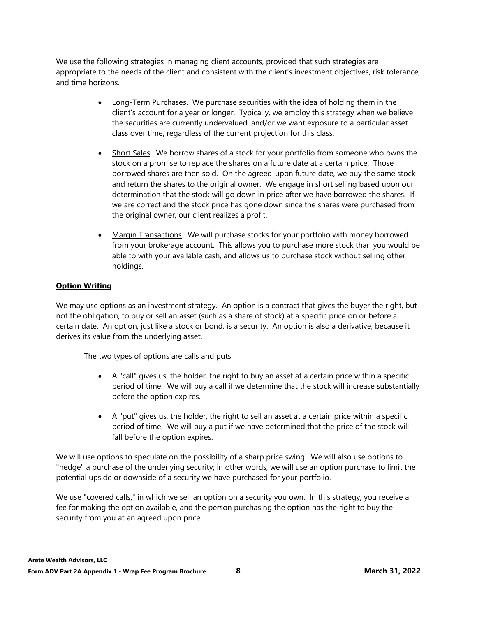We use the following strategies in managing client accounts, provided that such strategies are appropriate to the needs of the client and consistent with the client's investment objectives, risk tolerance, and time horizons.

- Long-Term Purchases. We purchase securities with the idea of holding them in the client's account for a year or longer. Typically, we employ this strategy when we believe the securities are currently undervalued, and/or we want exposure to a particular asset class over time, regardless of the current projection for this class.
- Short Sales. We borrow shares of a stock for your portfolio from someone who owns the stock on a promise to replace the shares on a future date at a certain price. Those borrowed shares are then sold. On the agreed-upon future date, we buy the same stock and return the shares to the original owner. We engage in short selling based upon our determination that the stock will go down in price after we have borrowed the shares. If we are correct and the stock price has gone down since the shares were purchased from the original owner, our client realizes a profit.
- Margin Transactions. We will purchase stocks for your portfolio with money borrowed from your brokerage account. This allows you to purchase more stock than you would be able to with your available cash, and allows us to purchase stock without selling other holdings.

## **Option Writing**

We may use options as an investment strategy. An option is a contract that gives the buyer the right, but not the obligation, to buy or sell an asset (such as a share of stock) at a specific price on or before a certain date. An option, just like a stock or bond, is a security. An option is also a derivative, because it derives its value from the underlying asset.

The two types of options are calls and puts:

- A "call" gives us, the holder, the right to buy an asset at a certain price within a specific period of time. We will buy a call if we determine that the stock will increase substantially before the option expires.
- A "put" gives us, the holder, the right to sell an asset at a certain price within a specific period of time. We will buy a put if we have determined that the price of the stock will fall before the option expires.

We will use options to speculate on the possibility of a sharp price swing. We will also use options to "hedge" a purchase of the underlying security; in other words, we will use an option purchase to limit the potential upside or downside of a security we have purchased for your portfolio.

We use "covered calls," in which we sell an option on a security you own. In this strategy, you receive a fee for making the option available, and the person purchasing the option has the right to buy the security from you at an agreed upon price.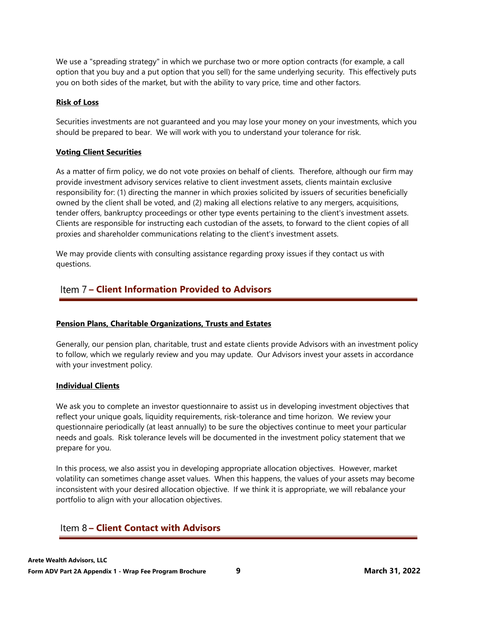We use a "spreading strategy" in which we purchase two or more option contracts (for example, a call option that you buy and a put option that you sell) for the same underlying security. This effectively puts you on both sides of the market, but with the ability to vary price, time and other factors.

### **Risk of Loss**

Securities investments are not guaranteed and you may lose your money on your investments, which you should be prepared to bear. We will work with you to understand your tolerance for risk.

### **Voting Client Securities**

As a matter of firm policy, we do not vote proxies on behalf of clients. Therefore, although our firm may provide investment advisory services relative to client investment assets, clients maintain exclusive responsibility for: (1) directing the manner in which proxies solicited by issuers of securities beneficially owned by the client shall be voted, and (2) making all elections relative to any mergers, acquisitions, tender offers, bankruptcy proceedings or other type events pertaining to the client's investment assets. Clients are responsible for instructing each custodian of the assets, to forward to the client copies of all proxies and shareholder communications relating to the client's investment assets.

We may provide clients with consulting assistance regarding proxy issues if they contact us with questions.

## **– Client Information Provided to Advisors**

## **Pension Plans, Charitable Organizations, Trusts and Estates**

Generally, our pension plan, charitable, trust and estate clients provide Advisors with an investment policy to follow, which we regularly review and you may update. Our Advisors invest your assets in accordance with your investment policy.

### **Individual Clients**

We ask you to complete an investor questionnaire to assist us in developing investment objectives that reflect your unique goals, liquidity requirements, risk-tolerance and time horizon. We review your questionnaire periodically (at least annually) to be sure the objectives continue to meet your particular needs and goals. Risk tolerance levels will be documented in the investment policy statement that we prepare for you.

In this process, we also assist you in developing appropriate allocation objectives. However, market volatility can sometimes change asset values. When this happens, the values of your assets may become inconsistent with your desired allocation objective. If we think it is appropriate, we will rebalance your portfolio to align with your allocation objectives.

## **Item 8 - Client Contact with Advisors**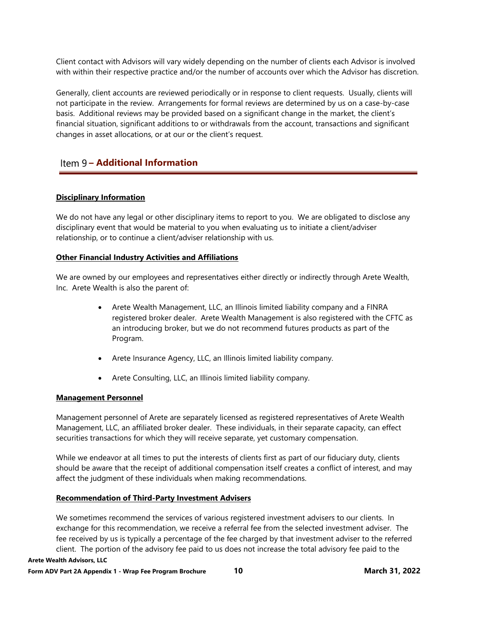Client contact with Advisors will vary widely depending on the number of clients each Advisor is involved with within their respective practice and/or the number of accounts over which the Advisor has discretion.

Generally, client accounts are reviewed periodically or in response to client requests. Usually, clients will not participate in the review. Arrangements for formal reviews are determined by us on a case-by-case basis. Additional reviews may be provided based on a significant change in the market, the client's financial situation, significant additions to or withdrawals from the account, transactions and significant changes in asset allocations, or at our or the client's request.

## **Item 9 - Additional Information**

### **Disciplinary Information**

We do not have any legal or other disciplinary items to report to you. We are obligated to disclose any disciplinary event that would be material to you when evaluating us to initiate a client/adviser relationship, or to continue a client/adviser relationship with us.

#### **Other Financial Industry Activities and Affiliations**

We are owned by our employees and representatives either directly or indirectly through Arete Wealth, Inc. Arete Wealth is also the parent of:

- Arete Wealth Management, LLC, an Illinois limited liability company and a FINRA registered broker dealer. Arete Wealth Management is also registered with the CFTC as an introducing broker, but we do not recommend futures products as part of the Program.
- Arete Insurance Agency, LLC, an Illinois limited liability company.
- Arete Consulting, LLC, an Illinois limited liability company.

#### **Management Personnel**

Management personnel of Arete are separately licensed as registered representatives of Arete Wealth Management, LLC, an affiliated broker dealer. These individuals, in their separate capacity, can effect securities transactions for which they will receive separate, yet customary compensation.

While we endeavor at all times to put the interests of clients first as part of our fiduciary duty, clients should be aware that the receipt of additional compensation itself creates a conflict of interest, and may affect the judgment of these individuals when making recommendations.

#### **Recommendation of Third-Party Investment Advisers**

We sometimes recommend the services of various registered investment advisers to our clients. In exchange for this recommendation, we receive a referral fee from the selected investment adviser. The fee received by us is typically a percentage of the fee charged by that investment adviser to the referred client. The portion of the advisory fee paid to us does not increase the total advisory fee paid to the

#### **Arete Wealth Advisors, LLC**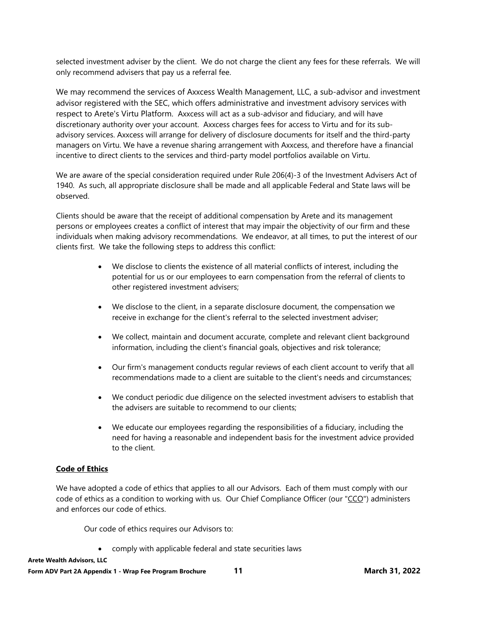selected investment adviser by the client. We do not charge the client any fees for these referrals. We will only recommend advisers that pay us a referral fee.

We may recommend the services of Axxcess Wealth Management, LLC, a sub-advisor and investment advisor registered with the SEC, which offers administrative and investment advisory services with respect to Arete's Virtu Platform. Axxcess will act as a sub-advisor and fiduciary, and will have discretionary authority over your account. Axxcess charges fees for access to Virtu and for its subadvisory services. Axxcess will arrange for delivery of disclosure documents for itself and the third-party managers on Virtu. We have a revenue sharing arrangement with Axxcess, and therefore have a financial incentive to direct clients to the services and third-party model portfolios available on Virtu.

We are aware of the special consideration required under Rule 206(4)-3 of the Investment Advisers Act of 1940. As such, all appropriate disclosure shall be made and all applicable Federal and State laws will be observed.

Clients should be aware that the receipt of additional compensation by Arete and its management persons or employees creates a conflict of interest that may impair the objectivity of our firm and these individuals when making advisory recommendations. We endeavor, at all times, to put the interest of our clients first. We take the following steps to address this conflict:

- We disclose to clients the existence of all material conflicts of interest, including the potential for us or our employees to earn compensation from the referral of clients to other registered investment advisers;
- We disclose to the client, in a separate disclosure document, the compensation we receive in exchange for the client's referral to the selected investment adviser;
- We collect, maintain and document accurate, complete and relevant client background information, including the client's financial goals, objectives and risk tolerance;
- Our firm's management conducts regular reviews of each client account to verify that all recommendations made to a client are suitable to the client's needs and circumstances;
- We conduct periodic due diligence on the selected investment advisers to establish that the advisers are suitable to recommend to our clients;
- We educate our employees regarding the responsibilities of a fiduciary, including the need for having a reasonable and independent basis for the investment advice provided to the client.

### **Code of Ethics**

We have adopted a code of ethics that applies to all our Advisors. Each of them must comply with our code of ethics as a condition to working with us. Our Chief Compliance Officer (our "CCO") administers and enforces our code of ethics.

Our code of ethics requires our Advisors to:

comply with applicable federal and state securities laws

**Arete Wealth Advisors, LLC**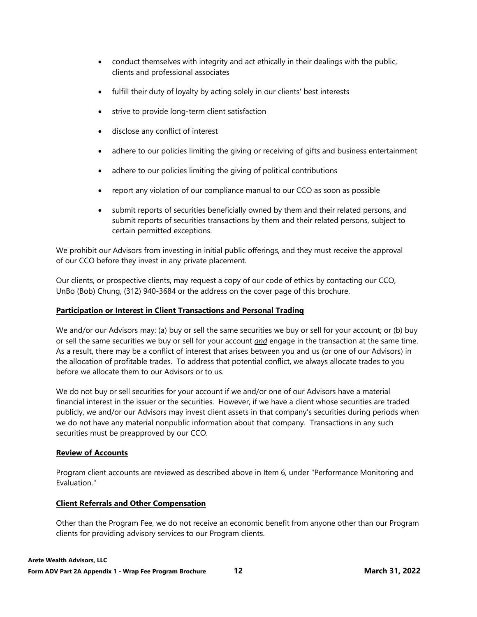- conduct themselves with integrity and act ethically in their dealings with the public, clients and professional associates
- fulfill their duty of loyalty by acting solely in our clients' best interests
- strive to provide long-term client satisfaction
- disclose any conflict of interest
- adhere to our policies limiting the giving or receiving of gifts and business entertainment
- adhere to our policies limiting the giving of political contributions
- report any violation of our compliance manual to our CCO as soon as possible
- submit reports of securities beneficially owned by them and their related persons, and submit reports of securities transactions by them and their related persons, subject to certain permitted exceptions.

We prohibit our Advisors from investing in initial public offerings, and they must receive the approval of our CCO before they invest in any private placement.

Our clients, or prospective clients, may request a copy of our code of ethics by contacting our CCO, UnBo (Bob) Chung, (312) 940-3684 or the address on the cover page of this brochure.

### **Participation or Interest in Client Transactions and Personal Trading**

We and/or our Advisors may: (a) buy or sell the same securities we buy or sell for your account; or (b) buy or sell the same securities we buy or sell for your account *and* engage in the transaction at the same time. As a result, there may be a conflict of interest that arises between you and us (or one of our Advisors) in the allocation of profitable trades. To address that potential conflict, we always allocate trades to you before we allocate them to our Advisors or to us.

We do not buy or sell securities for your account if we and/or one of our Advisors have a material financial interest in the issuer or the securities. However, if we have a client whose securities are traded publicly, we and/or our Advisors may invest client assets in that company's securities during periods when we do not have any material nonpublic information about that company. Transactions in any such securities must be preapproved by our CCO.

#### **Review of Accounts**

Program client accounts are reviewed as described above in Item 6, under "Performance Monitoring and Evaluation."

### **Client Referrals and Other Compensation**

Other than the Program Fee, we do not receive an economic benefit from anyone other than our Program clients for providing advisory services to our Program clients.